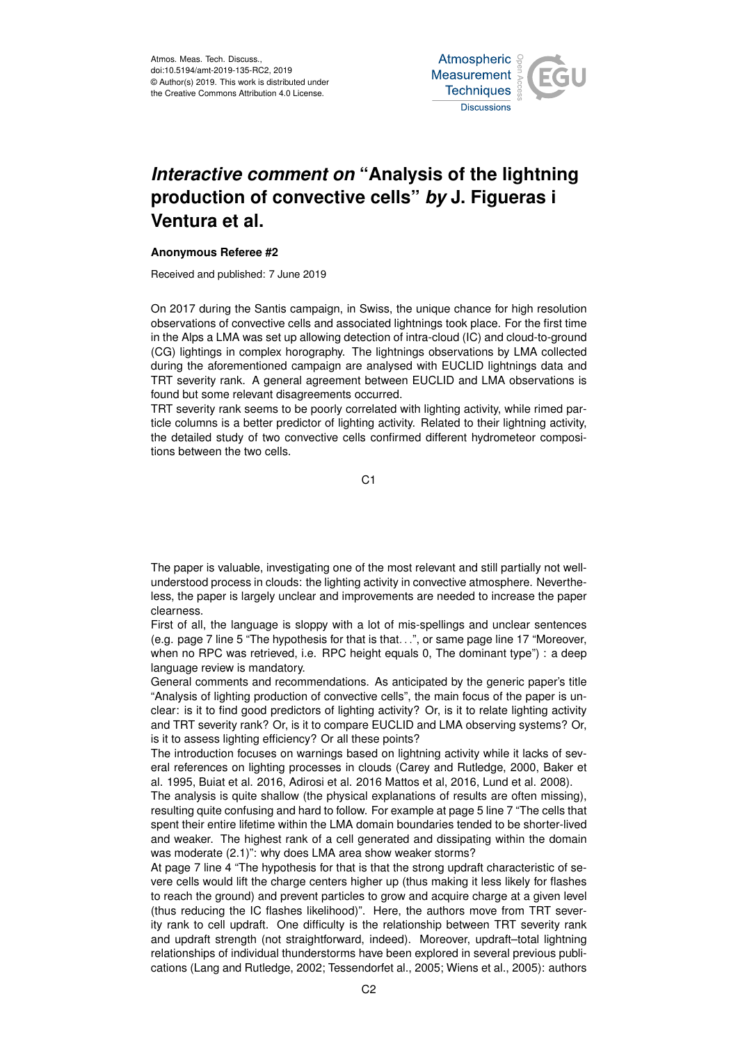

## *Interactive comment on* **"Analysis of the lightning production of convective cells"** *by* **J. Figueras i Ventura et al.**

## **Anonymous Referee #2**

Received and published: 7 June 2019

On 2017 during the Santis campaign, in Swiss, the unique chance for high resolution observations of convective cells and associated lightnings took place. For the first time in the Alps a LMA was set up allowing detection of intra-cloud (IC) and cloud-to-ground (CG) lightings in complex horography. The lightnings observations by LMA collected during the aforementioned campaign are analysed with EUCLID lightnings data and TRT severity rank. A general agreement between EUCLID and LMA observations is found but some relevant disagreements occurred.

TRT severity rank seems to be poorly correlated with lighting activity, while rimed particle columns is a better predictor of lighting activity. Related to their lightning activity, the detailed study of two convective cells confirmed different hydrometeor compositions between the two cells.

C1

The paper is valuable, investigating one of the most relevant and still partially not wellunderstood process in clouds: the lighting activity in convective atmosphere. Nevertheless, the paper is largely unclear and improvements are needed to increase the paper clearness.

First of all, the language is sloppy with a lot of mis-spellings and unclear sentences (e.g. page 7 line 5 "The hypothesis for that is that. . .", or same page line 17 "Moreover, when no RPC was retrieved, i.e. RPC height equals 0, The dominant type") : a deep language review is mandatory.

General comments and recommendations. As anticipated by the generic paper's title "Analysis of lighting production of convective cells", the main focus of the paper is unclear: is it to find good predictors of lighting activity? Or, is it to relate lighting activity and TRT severity rank? Or, is it to compare EUCLID and LMA observing systems? Or, is it to assess lighting efficiency? Or all these points?

The introduction focuses on warnings based on lightning activity while it lacks of several references on lighting processes in clouds (Carey and Rutledge, 2000, Baker et al. 1995, Buiat et al. 2016, Adirosi et al. 2016 Mattos et al, 2016, Lund et al. 2008).

The analysis is quite shallow (the physical explanations of results are often missing), resulting quite confusing and hard to follow. For example at page 5 line 7 "The cells that spent their entire lifetime within the LMA domain boundaries tended to be shorter-lived and weaker. The highest rank of a cell generated and dissipating within the domain was moderate (2.1)": why does LMA area show weaker storms?

At page 7 line 4 "The hypothesis for that is that the strong updraft characteristic of severe cells would lift the charge centers higher up (thus making it less likely for flashes to reach the ground) and prevent particles to grow and acquire charge at a given level (thus reducing the IC flashes likelihood)". Here, the authors move from TRT severity rank to cell updraft. One difficulty is the relationship between TRT severity rank and updraft strength (not straightforward, indeed). Moreover, updraft–total lightning relationships of individual thunderstorms have been explored in several previous publications (Lang and Rutledge, 2002; Tessendorfet al., 2005; Wiens et al., 2005): authors